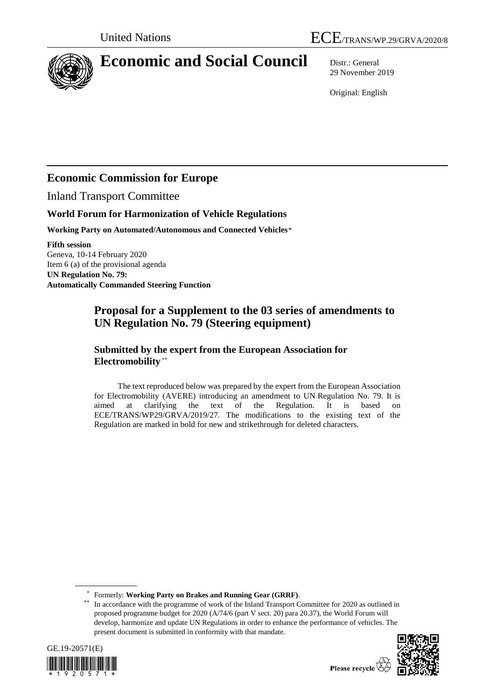

# **Economic and Social Council** Distr.: General

29 November 2019

Original: English

## **Economic Commission for Europe**

Inland Transport Committee

### **World Forum for Harmonization of Vehicle Regulations**

**Working Party on Automated/Autonomous and Connected Vehicles**\*

**Fifth session** Geneva, 10-14 February 2020 Item 6 (a) of the provisional agenda **UN Regulation No. 79: Automatically Commanded Steering Function**

## **Proposal for a Supplement to the 03 series of amendments to UN Regulation No. 79 (Steering equipment)**

### **Submitted by the expert from the European Association for Electromobility** \*\*

The text reproduced below was prepared by the expert from the European Association for Electromobility (AVERE) introducing an amendment to UN Regulation No. 79. It is aimed at clarifying the text of the Regulation. It is based on ECE/TRANS/WP29/GRVA/2019/27. The modifications to the existing text of the Regulation are marked in bold for new and strikethrough for deleted characters.

\* Formerly: **Working Party on Brakes and Running Gear (GRRF)**.

In accordance with the programme of work of the Inland Transport Committee for 2020 as outlined in proposed programme budget for 2020 (A/74/6 (part V sect. 20) para 20.37), the World Forum will develop, harmonize and update UN Regulations in order to enhance the performance of vehicles. The present document is submitted in conformity with that mandate.





Please recycle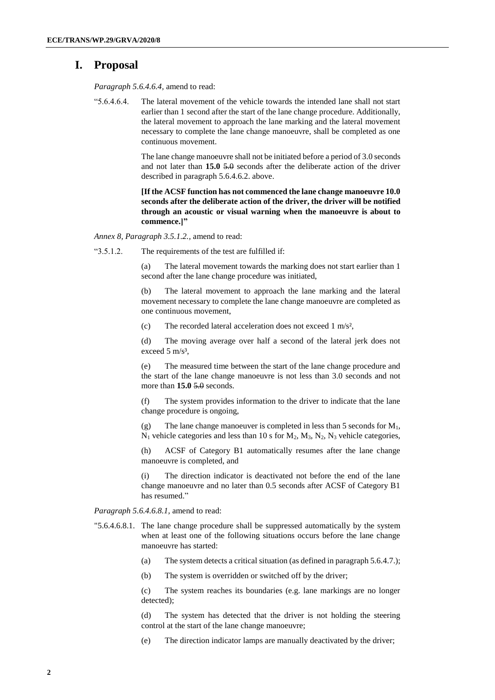### **I. Proposal**

*Paragraph 5.6.4.6.4,* amend to read:

"5.6.4.6.4. The lateral movement of the vehicle towards the intended lane shall not start earlier than 1 second after the start of the lane change procedure. Additionally, the lateral movement to approach the lane marking and the lateral movement necessary to complete the lane change manoeuvre, shall be completed as one continuous movement.

> The lane change manoeuvre shall not be initiated before a period of 3.0 seconds and not later than **15.0** 5.0 seconds after the deliberate action of the driver described in paragraph 5.6.4.6.2. above.

> **[If the ACSF function has not commenced the lane change manoeuvre 10.0 seconds after the deliberate action of the driver, the driver will be notified through an acoustic or visual warning when the manoeuvre is about to commence.]"**

*Annex 8, Paragraph 3.5.1.2.,* amend to read:

"3.5.1.2. The requirements of the test are fulfilled if:

(a) The lateral movement towards the marking does not start earlier than 1 second after the lane change procedure was initiated,

(b) The lateral movement to approach the lane marking and the lateral movement necessary to complete the lane change manoeuvre are completed as one continuous movement,

(c) The recorded lateral acceleration does not exceed 1 m/s²,

(d) The moving average over half a second of the lateral jerk does not exceed  $5 \text{ m/s}^3$ ,

(e) The measured time between the start of the lane change procedure and the start of the lane change manoeuvre is not less than 3.0 seconds and not more than **15.0** 5.0 seconds.

(f) The system provides information to the driver to indicate that the lane change procedure is ongoing,

(g) The lane change manoeuver is completed in less than 5 seconds for  $M_1$ ,  $N_1$  vehicle categories and less than 10 s for  $M_2$ ,  $M_3$ ,  $N_2$ ,  $N_3$  vehicle categories,

(h) ACSF of Category B1 automatically resumes after the lane change manoeuvre is completed, and

(i) The direction indicator is deactivated not before the end of the lane change manoeuvre and no later than 0.5 seconds after ACSF of Category B1 has resumed."

*Paragraph 5.6.4.6.8.1,* amend to read:

- "5.6.4.6.8.1. The lane change procedure shall be suppressed automatically by the system when at least one of the following situations occurs before the lane change manoeuvre has started:
	- (a) The system detects a critical situation (as defined in paragraph 5.6.4.7.);
	- (b) The system is overridden or switched off by the driver;

(c) The system reaches its boundaries (e.g. lane markings are no longer detected);

(d) The system has detected that the driver is not holding the steering control at the start of the lane change manoeuvre;

(e) The direction indicator lamps are manually deactivated by the driver;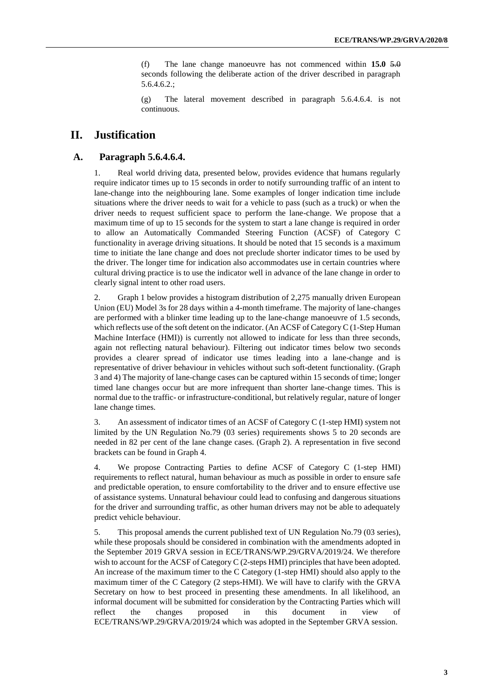(f) The lane change manoeuvre has not commenced within **15.0** 5.0 seconds following the deliberate action of the driver described in paragraph 5.6.4.6.2.;

(g) The lateral movement described in paragraph 5.6.4.6.4. is not continuous.

### **II. Justification**

#### **A. Paragraph 5.6.4.6.4.**

1. Real world driving data, presented below, provides evidence that humans regularly require indicator times up to 15 seconds in order to notify surrounding traffic of an intent to lane-change into the neighbouring lane. Some examples of longer indication time include situations where the driver needs to wait for a vehicle to pass (such as a truck) or when the driver needs to request sufficient space to perform the lane-change. We propose that a maximum time of up to 15 seconds for the system to start a lane change is required in order to allow an Automatically Commanded Steering Function (ACSF) of Category C functionality in average driving situations. It should be noted that 15 seconds is a maximum time to initiate the lane change and does not preclude shorter indicator times to be used by the driver. The longer time for indication also accommodates use in certain countries where cultural driving practice is to use the indicator well in advance of the lane change in order to clearly signal intent to other road users.

2. Graph 1 below provides a histogram distribution of 2,275 manually driven European Union (EU) Model 3s for 28 days within a 4-month timeframe. The majority of lane-changes are performed with a blinker time leading up to the lane-change manoeuvre of 1.5 seconds, which reflects use of the soft detent on the indicator. (An ACSF of Category C (1-Step Human Machine Interface (HMI)) is currently not allowed to indicate for less than three seconds, again not reflecting natural behaviour). Filtering out indicator times below two seconds provides a clearer spread of indicator use times leading into a lane-change and is representative of driver behaviour in vehicles without such soft-detent functionality. (Graph 3 and 4) The majority of lane-change cases can be captured within 15 seconds of time; longer timed lane changes occur but are more infrequent than shorter lane-change times. This is normal due to the traffic- or infrastructure-conditional, but relatively regular, nature of longer lane change times.

3. An assessment of indicator times of an ACSF of Category C (1-step HMI) system not limited by the UN Regulation No.79 (03 series) requirements shows 5 to 20 seconds are needed in 82 per cent of the lane change cases. (Graph 2). A representation in five second brackets can be found in Graph 4.

4. We propose Contracting Parties to define ACSF of Category C (1-step HMI) requirements to reflect natural, human behaviour as much as possible in order to ensure safe and predictable operation, to ensure comfortability to the driver and to ensure effective use of assistance systems. Unnatural behaviour could lead to confusing and dangerous situations for the driver and surrounding traffic, as other human drivers may not be able to adequately predict vehicle behaviour.

5. This proposal amends the current published text of UN Regulation No.79 (03 series), while these proposals should be considered in combination with the amendments adopted in the September 2019 GRVA session in ECE/TRANS/WP.29/GRVA/2019/24. We therefore wish to account for the ACSF of Category C (2-steps HMI) principles that have been adopted. An increase of the maximum timer to the C Category (1-step HMI) should also apply to the maximum timer of the C Category (2 steps-HMI). We will have to clarify with the GRVA Secretary on how to best proceed in presenting these amendments. In all likelihood, an informal document will be submitted for consideration by the Contracting Parties which will reflect the changes proposed in this document in view of ECE/TRANS/WP.29/GRVA/2019/24 which was adopted in the September GRVA session.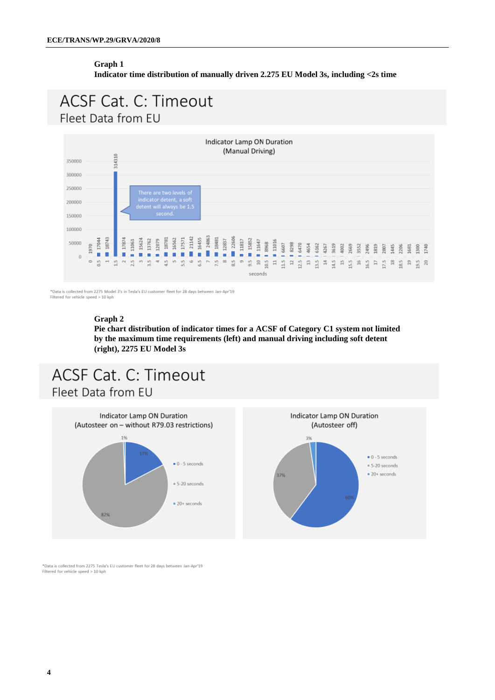#### **Graph 1 Indicator time distribution of manually driven 2.275 EU Model 3s, including <2s time**

## **ACSF Cat. C: Timeout** Fleet Data from EU



\*Data is collected from 2275 Model 3's in Tesla's EU customer fleet for 28 days between Jan-Apr'19 Filtered for vehicle speed > 10 kph

#### **Graph 2**

**Pie chart distribution of indicator times for a ACSF of Category C1 system not limited by the maximum time requirements (left) and manual driving including soft detent (right), 2275 EU Model 3s**

# ACSF Cat. C: Timeout Fleet Data from EU





\*Data is collected from 2275 Tesla's EU customer fleet for 28 days between Jan-Apr'19 Filtered for vehicle speed > 10 kph